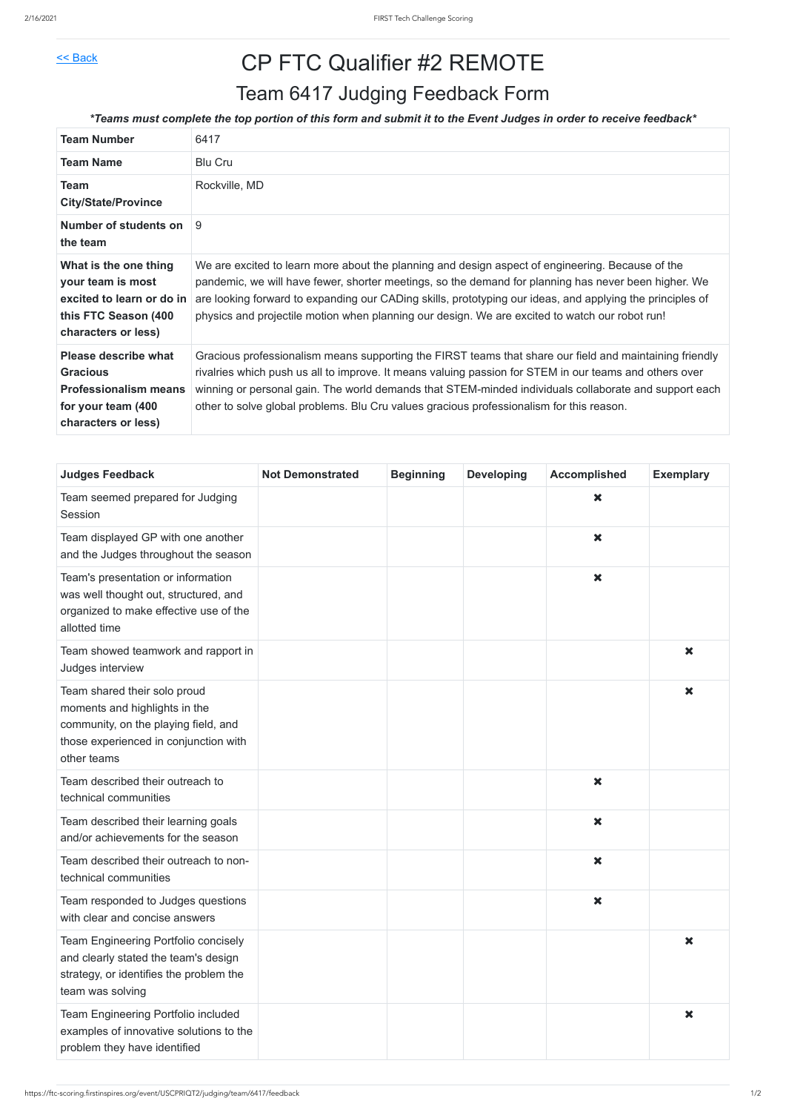## $\leq$  Back CP FTC Qualifier #2 REMOTE

| <b>Team Number</b>                                                                                                          | 6417                                                                                                                                                                                                                                                                                                                                                                                                                    |
|-----------------------------------------------------------------------------------------------------------------------------|-------------------------------------------------------------------------------------------------------------------------------------------------------------------------------------------------------------------------------------------------------------------------------------------------------------------------------------------------------------------------------------------------------------------------|
| <b>Team Name</b>                                                                                                            | <b>Blu Cru</b>                                                                                                                                                                                                                                                                                                                                                                                                          |
| <b>Team</b><br><b>City/State/Province</b>                                                                                   | Rockville, MD                                                                                                                                                                                                                                                                                                                                                                                                           |
| Number of students on<br>the team                                                                                           | 9                                                                                                                                                                                                                                                                                                                                                                                                                       |
| What is the one thing<br>your team is most<br>excited to learn or do in<br>this FTC Season (400<br>characters or less)      | We are excited to learn more about the planning and design aspect of engineering. Because of the<br>pandemic, we will have fewer, shorter meetings, so the demand for planning has never been higher. We<br>are looking forward to expanding our CADing skills, prototyping our ideas, and applying the principles of<br>physics and projectile motion when planning our design. We are excited to watch our robot run! |
| <b>Please describe what</b><br><b>Gracious</b><br><b>Professionalism means</b><br>for your team (400<br>characters or less) | Gracious professionalism means supporting the FIRST teams that share our field and maintaining friendly<br>rivalries which push us all to improve. It means valuing passion for STEM in our teams and others over<br>winning or personal gain. The world demands that STEM-minded individuals collaborate and support each<br>other to solve global problems. Blu Cru values gracious professionalism for this reason.  |

| <b>Judges Feedback</b>                                                                                                                                        | <b>Not Demonstrated</b> | <b>Beginning</b> | <b>Developing</b> | <b>Accomplished</b>       | <b>Exemplary</b>          |
|---------------------------------------------------------------------------------------------------------------------------------------------------------------|-------------------------|------------------|-------------------|---------------------------|---------------------------|
| Team seemed prepared for Judging<br>Session                                                                                                                   |                         |                  |                   | $\boldsymbol{\mathsf{x}}$ |                           |
| Team displayed GP with one another<br>and the Judges throughout the season                                                                                    |                         |                  |                   | $\boldsymbol{\mathsf{x}}$ |                           |
| Team's presentation or information<br>was well thought out, structured, and<br>organized to make effective use of the<br>allotted time                        |                         |                  |                   | $\boldsymbol{\mathsf{x}}$ |                           |
| Team showed teamwork and rapport in<br>Judges interview                                                                                                       |                         |                  |                   |                           | $\boldsymbol{\mathsf{x}}$ |
| Team shared their solo proud<br>moments and highlights in the<br>community, on the playing field, and<br>those experienced in conjunction with<br>other teams |                         |                  |                   |                           | $\boldsymbol{\mathsf{x}}$ |
| Team described their outreach to<br>technical communities                                                                                                     |                         |                  |                   | $\boldsymbol{\mathsf{x}}$ |                           |
| Team described their learning goals<br>and/or achievements for the season                                                                                     |                         |                  |                   | $\boldsymbol{\mathsf{x}}$ |                           |
| Team described their outreach to non-<br>technical communities                                                                                                |                         |                  |                   | $\boldsymbol{\mathsf{x}}$ |                           |
| Team responded to Judges questions<br>with clear and concise answers                                                                                          |                         |                  |                   | $\boldsymbol{\mathsf{x}}$ |                           |
| Team Engineering Portfolio concisely<br>and clearly stated the team's design<br>strategy, or identifies the problem the<br>team was solving                   |                         |                  |                   |                           | $\boldsymbol{\mathsf{x}}$ |
| Team Engineering Portfolio included<br>examples of innovative solutions to the<br>problem they have identified                                                |                         |                  |                   |                           | $\boldsymbol{\mathsf{x}}$ |

## Team 6417 Judging Feedback Form

## *\*Teams must complete the top portion of this form and submit it to the Event Judges in order to receive feedback\**